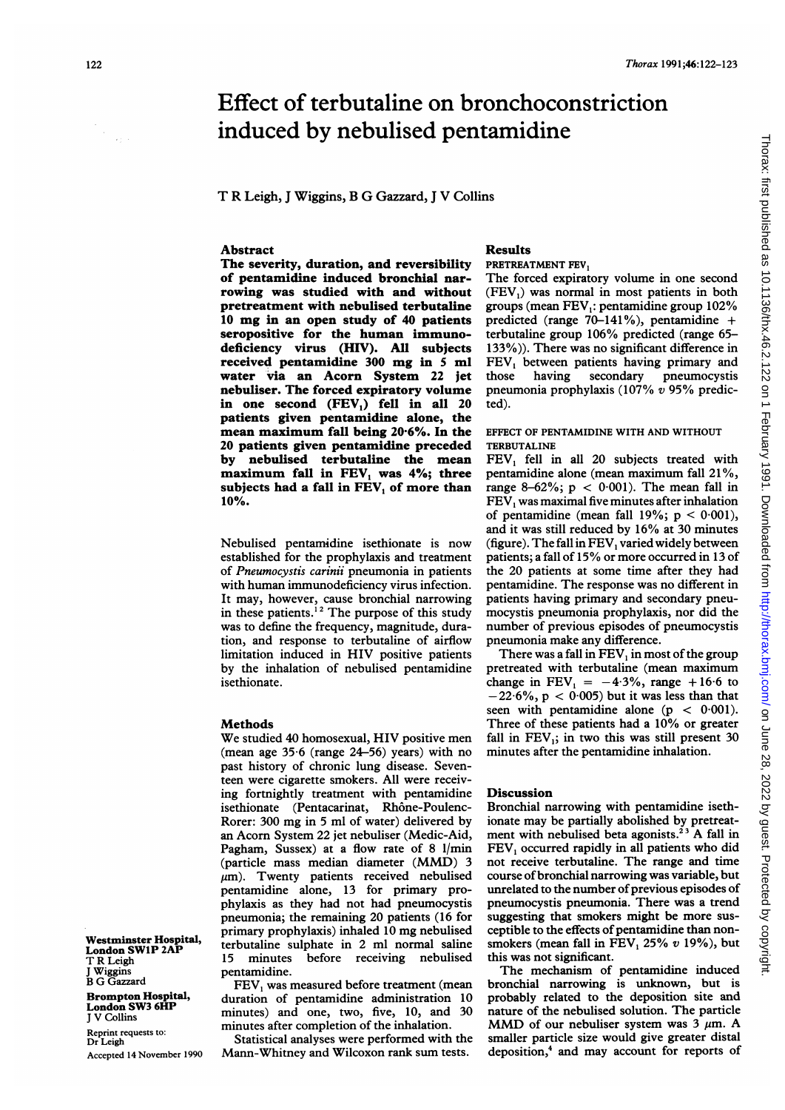# Effect of terbutaline on bronchoconstriction induced by nebulised pentamidine

T R Leigh, <sup>J</sup> Wiggins, B G Gazzard, <sup>J</sup> V Collins

## Abstract

The severity, duration, and reversibility of pentamidine induced bronchial narrowing was studied with and without pretreatment with nebulised terbutaline <sup>10</sup> mg in an open study of <sup>40</sup> patients seropositive for the human immunodeficiency virus (HIV). All subjects received pentamidine <sup>300</sup> mg in <sup>5</sup> ml water via an Acorn System 22 jet nebuliser. The forced expiratory volume in one second  $(FEV<sub>1</sub>)$  fell in all 20 patients given pentamidine alone, the mean maximum fall being 20-6%. In the 20 patients given pentamidine preceded by nebulised terbutaline the mean maximum fall in FEV, was 4%; three subjects had a fall in FEV, of more than 10%.

Nebulised pentamidine isethionate is now established for the prophylaxis and treatment of Pneumocystis carinii pneumonia in patients with human immunodeficiency virus infection. It may, however, cause bronchial narrowing in these patients.<sup>12</sup> The purpose of this study was to define the frequency, magnitude, duration, and response to terbutaline of airflow limitation induced in HIV positive patients by the inhalation of nebulised pentamidine isethionate.

#### Methods

We studied <sup>40</sup> homosexual, HIV positive men (mean age 35-6 (range 24-56) years) with no past history of chronic lung disease. Seventeen were cigarette smokers. All were receiving fortnightly treatment with pentamidine isethionate (Pentacarinat, Rhône-Poulenc-Rorer: 300 mg in <sup>5</sup> ml of water) delivered by an Acorn System 22 jet nebuliser (Medic-Aid, Pagham, Sussex) at a flow rate of 8 1/min (particle mass median diameter (MMD) <sup>3</sup>  $\mu$ m). Twenty patients received nebulised pentamidine alone, 13 for primary prophylaxis as they had not had pneumocystis pneumonia; the remaining 20 patients (16 for primary prophylaxis) inhaled <sup>10</sup> mg nebulised terbutaline sulphate in 2 ml normal saline 15 minutes before receiving nebulised pentamidine.

FEV, was measured before treatment (mean duration of pentamidine administration 10 minutes) and one, two, five, 10, and 30 minutes after completion of the inhalation.

Statistical analyses were performed with the Mann-Whitney and Wilcoxon rank sum tests.

### Results

#### PRETREATMENT FEV,

The forced expiratory volume in one second (FEV,) was normal in most patients in both groups (mean  $FEV<sub>1</sub>$ : pentamidine group 102% predicted (range 70-141%), pentamidine + terbutaline group 106% predicted (range 65- 133%)). There was no significant difference in FEV, between patients having primary and those having secondary pneumocystis pneumonia prophylaxis (107%  $v$  95% predicted).

## EFFECT OF PENTAMIDINE WITH AND WITHOUT TERBUTALINE

FEV, fell in all 20 subjects treated with pentamidine alone (mean maximum fall 21%, range 8-62%;  $p < 0.001$ ). The mean fall in FEV, was maximal five minutes after inhalation of pentamidine (mean fall 19%;  $p < 0.001$ ), and it was still reduced by 16% at 30 minutes (figure). The fall in FEV, varied widely between patients; a fall of 15% or more occurred in 13 of the 20 patients at some time after they had pentamidine. The response was no different in patients having primary and secondary pneumocystis pneumonia prophylaxis, nor did the number of previous episodes of pneumocystis pneumonia make any difference.

There was a fall in  $FEV<sub>1</sub>$  in most of the group pretreated with terbutaline (mean maximum change in  $\text{FEV}_1 = -4.3\%$ , range +16.6 to  $-22.6\%$ , p < 0.005) but it was less than that seen with pentamidine alone  $(p < 0.001)$ . Three of these patients had <sup>a</sup> 10% or greater fall in  $FEV<sub>1</sub>$ ; in two this was still present 30 minutes after the pentamidine inhalation.

### **Discussion**

Bronchial narrowing with pentamidine isethionate may be partially abolished by pretreatment with nebulised beta agonists.<sup>23</sup> A fall in FEV, occurred rapidly in all patients who did not receive terbutaline. The range and time course of bronchial narrowing was variable, but unrelated to the number of previous episodes of pneumocystis pneumonia. There was a trend suggesting that smokers might be more susceptible to the effects of pentamidine than nonsmokers (mean fall in FEV,  $25\%$  v 19%), but this was not significant.

The mechanism of pentamidine induced bronchial narrowing is unknown, but is probably related to the deposition site and nature of the nebulised solution. The particle MMD of our nebuliser system was  $3 \mu m$ . A smaller particle size would give greater distal deposition,4 and may account for reports of

Westminster Hospital, London SWlP 2AP T R Leigh J Wiggins B G Gazzard

Brompton Hospital, London SW3 6HP <sup>J</sup> V Collins

Reprint requests to: Dr Leigh Accepted 14 November 1990